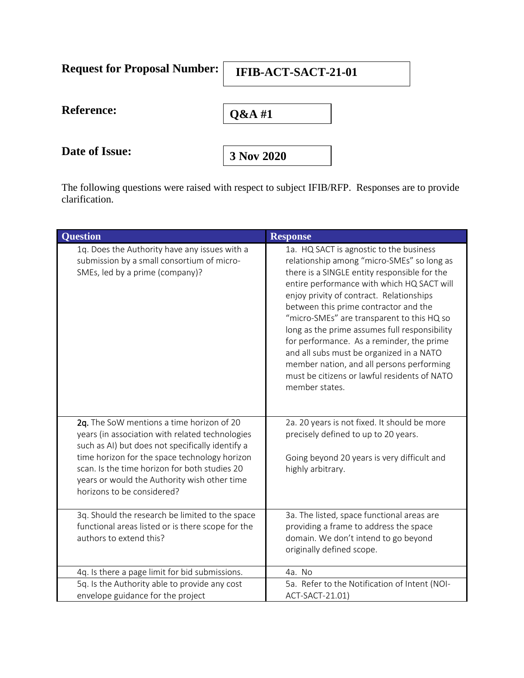| <b>Request for Proposal Number:</b> | IFIB-ACT-SACT-21-01 |
|-------------------------------------|---------------------|
| <b>Reference:</b>                   | Q&A#1               |
| Date of Issue:                      | 3 Nov 2020          |

The following questions were raised with respect to subject IFIB/RFP. Responses are to provide clarification.

| <b>Question</b>                                                                                                                                                                                                                                                                                                                  | <b>Response</b>                                                                                                                                                                                                                                                                                                                                                                                                                                                                                                                                                                 |
|----------------------------------------------------------------------------------------------------------------------------------------------------------------------------------------------------------------------------------------------------------------------------------------------------------------------------------|---------------------------------------------------------------------------------------------------------------------------------------------------------------------------------------------------------------------------------------------------------------------------------------------------------------------------------------------------------------------------------------------------------------------------------------------------------------------------------------------------------------------------------------------------------------------------------|
| 1q. Does the Authority have any issues with a<br>submission by a small consortium of micro-<br>SMEs, led by a prime (company)?                                                                                                                                                                                                   | 1a. HQ SACT is agnostic to the business<br>relationship among "micro-SMEs" so long as<br>there is a SINGLE entity responsible for the<br>entire performance with which HQ SACT will<br>enjoy privity of contract. Relationships<br>between this prime contractor and the<br>"micro-SMEs" are transparent to this HQ so<br>long as the prime assumes full responsibility<br>for performance. As a reminder, the prime<br>and all subs must be organized in a NATO<br>member nation, and all persons performing<br>must be citizens or lawful residents of NATO<br>member states. |
| 2q. The SoW mentions a time horizon of 20<br>years (in association with related technologies<br>such as AI) but does not specifically identify a<br>time horizon for the space technology horizon<br>scan. Is the time horizon for both studies 20<br>years or would the Authority wish other time<br>horizons to be considered? | 2a. 20 years is not fixed. It should be more<br>precisely defined to up to 20 years.<br>Going beyond 20 years is very difficult and<br>highly arbitrary.                                                                                                                                                                                                                                                                                                                                                                                                                        |
| 3q. Should the research be limited to the space<br>functional areas listed or is there scope for the<br>authors to extend this?                                                                                                                                                                                                  | 3a. The listed, space functional areas are<br>providing a frame to address the space<br>domain. We don't intend to go beyond<br>originally defined scope.                                                                                                                                                                                                                                                                                                                                                                                                                       |
| 4q. Is there a page limit for bid submissions.                                                                                                                                                                                                                                                                                   | 4a. No                                                                                                                                                                                                                                                                                                                                                                                                                                                                                                                                                                          |
| 5q. Is the Authority able to provide any cost<br>envelope guidance for the project                                                                                                                                                                                                                                               | 5a. Refer to the Notification of Intent (NOI-<br>ACT-SACT-21.01)                                                                                                                                                                                                                                                                                                                                                                                                                                                                                                                |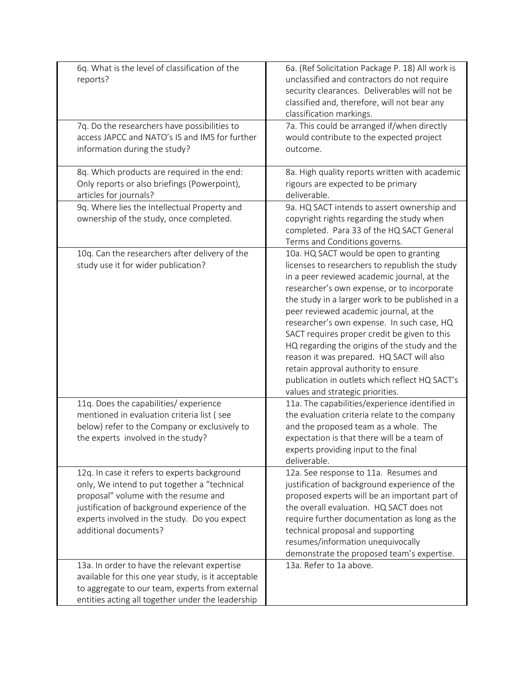| 6q. What is the level of classification of the<br>reports?                                                                                                                                                                                                     | 6a. (Ref Solicitation Package P. 18) All work is<br>unclassified and contractors do not require<br>security clearances. Deliverables will not be<br>classified and, therefore, will not bear any<br>classification markings.                                                                                                                                                                                                                                                                                                                                                                                 |
|----------------------------------------------------------------------------------------------------------------------------------------------------------------------------------------------------------------------------------------------------------------|--------------------------------------------------------------------------------------------------------------------------------------------------------------------------------------------------------------------------------------------------------------------------------------------------------------------------------------------------------------------------------------------------------------------------------------------------------------------------------------------------------------------------------------------------------------------------------------------------------------|
| 7q. Do the researchers have possibilities to<br>access JAPCC and NATO's IS and IMS for further<br>information during the study?                                                                                                                                | 7a. This could be arranged if/when directly<br>would contribute to the expected project<br>outcome.                                                                                                                                                                                                                                                                                                                                                                                                                                                                                                          |
| 8q. Which products are required in the end:<br>Only reports or also briefings (Powerpoint),<br>articles for journals?                                                                                                                                          | 8a. High quality reports written with academic<br>rigours are expected to be primary<br>deliverable.                                                                                                                                                                                                                                                                                                                                                                                                                                                                                                         |
| 9q. Where lies the Intellectual Property and<br>ownership of the study, once completed.                                                                                                                                                                        | 9a. HQ SACT intends to assert ownership and<br>copyright rights regarding the study when<br>completed. Para 33 of the HQ SACT General<br>Terms and Conditions governs.                                                                                                                                                                                                                                                                                                                                                                                                                                       |
| 10q. Can the researchers after delivery of the<br>study use it for wider publication?                                                                                                                                                                          | 10a. HQ SACT would be open to granting<br>licenses to researchers to republish the study<br>in a peer reviewed academic journal, at the<br>researcher's own expense, or to incorporate<br>the study in a larger work to be published in a<br>peer reviewed academic journal, at the<br>researcher's own expense. In such case, HQ<br>SACT requires proper credit be given to this<br>HQ regarding the origins of the study and the<br>reason it was prepared. HQ SACT will also<br>retain approval authority to ensure<br>publication in outlets which reflect HQ SACT's<br>values and strategic priorities. |
| 11q. Does the capabilities/experience<br>mentioned in evaluation criteria list (see<br>below) refer to the Company or exclusively to<br>the experts involved in the study?                                                                                     | 11a. The capabilities/experience identified in<br>the evaluation criteria relate to the company<br>and the proposed team as a whole. The<br>expectation is that there will be a team of<br>experts providing input to the final<br>deliverable.                                                                                                                                                                                                                                                                                                                                                              |
| 12q. In case it refers to experts background<br>only, We intend to put together a "technical<br>proposal" volume with the resume and<br>justification of background experience of the<br>experts involved in the study. Do you expect<br>additional documents? | 12a. See response to 11a. Resumes and<br>justification of background experience of the<br>proposed experts will be an important part of<br>the overall evaluation. HQ SACT does not<br>require further documentation as long as the<br>technical proposal and supporting<br>resumes/information unequivocally<br>demonstrate the proposed team's expertise.                                                                                                                                                                                                                                                  |
| 13a. In order to have the relevant expertise<br>available for this one year study, is it acceptable<br>to aggregate to our team, experts from external<br>entities acting all together under the leadership                                                    | 13a. Refer to 1a above.                                                                                                                                                                                                                                                                                                                                                                                                                                                                                                                                                                                      |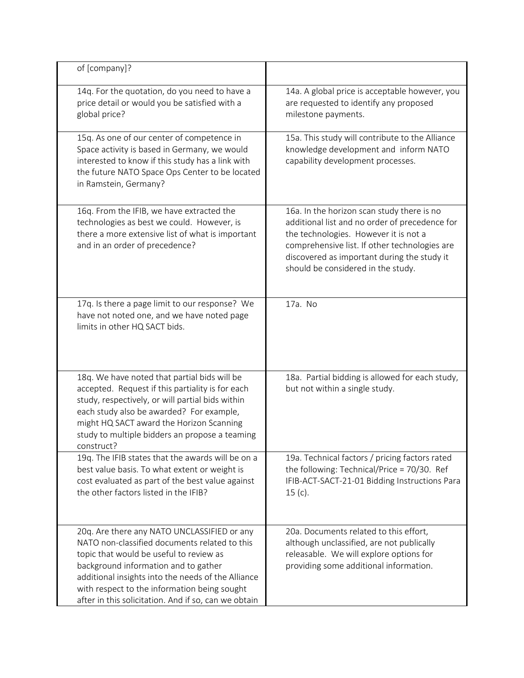| of [company]?                                                                                                                                                                                                                                                                                                                                 |                                                                                                                                                                                                                                                                             |
|-----------------------------------------------------------------------------------------------------------------------------------------------------------------------------------------------------------------------------------------------------------------------------------------------------------------------------------------------|-----------------------------------------------------------------------------------------------------------------------------------------------------------------------------------------------------------------------------------------------------------------------------|
| 14q. For the quotation, do you need to have a<br>price detail or would you be satisfied with a<br>global price?                                                                                                                                                                                                                               | 14a. A global price is acceptable however, you<br>are requested to identify any proposed<br>milestone payments.                                                                                                                                                             |
| 15q. As one of our center of competence in<br>Space activity is based in Germany, we would<br>interested to know if this study has a link with<br>the future NATO Space Ops Center to be located<br>in Ramstein, Germany?                                                                                                                     | 15a. This study will contribute to the Alliance<br>knowledge development and inform NATO<br>capability development processes.                                                                                                                                               |
| 16q. From the IFIB, we have extracted the<br>technologies as best we could. However, is<br>there a more extensive list of what is important<br>and in an order of precedence?                                                                                                                                                                 | 16a. In the horizon scan study there is no<br>additional list and no order of precedence for<br>the technologies. However it is not a<br>comprehensive list. If other technologies are<br>discovered as important during the study it<br>should be considered in the study. |
| 17q. Is there a page limit to our response? We<br>have not noted one, and we have noted page<br>limits in other HQ SACT bids.                                                                                                                                                                                                                 | 17a. No                                                                                                                                                                                                                                                                     |
| 18q. We have noted that partial bids will be<br>accepted. Request if this partiality is for each<br>study, respectively, or will partial bids within<br>each study also be awarded? For example,<br>might HQ SACT award the Horizon Scanning<br>study to multiple bidders an propose a teaming<br>construct?                                  | 18a. Partial bidding is allowed for each study,<br>but not within a single study.                                                                                                                                                                                           |
| 19q. The IFIB states that the awards will be on a<br>best value basis. To what extent or weight is<br>cost evaluated as part of the best value against<br>the other factors listed in the IFIB?                                                                                                                                               | 19a. Technical factors / pricing factors rated<br>the following: Technical/Price = $70/30$ . Ref<br>IFIB-ACT-SACT-21-01 Bidding Instructions Para<br>$15(c)$ .                                                                                                              |
| 20q. Are there any NATO UNCLASSIFIED or any<br>NATO non-classified documents related to this<br>topic that would be useful to review as<br>background information and to gather<br>additional insights into the needs of the Alliance<br>with respect to the information being sought<br>after in this solicitation. And if so, can we obtain | 20a. Documents related to this effort,<br>although unclassified, are not publically<br>releasable. We will explore options for<br>providing some additional information.                                                                                                    |